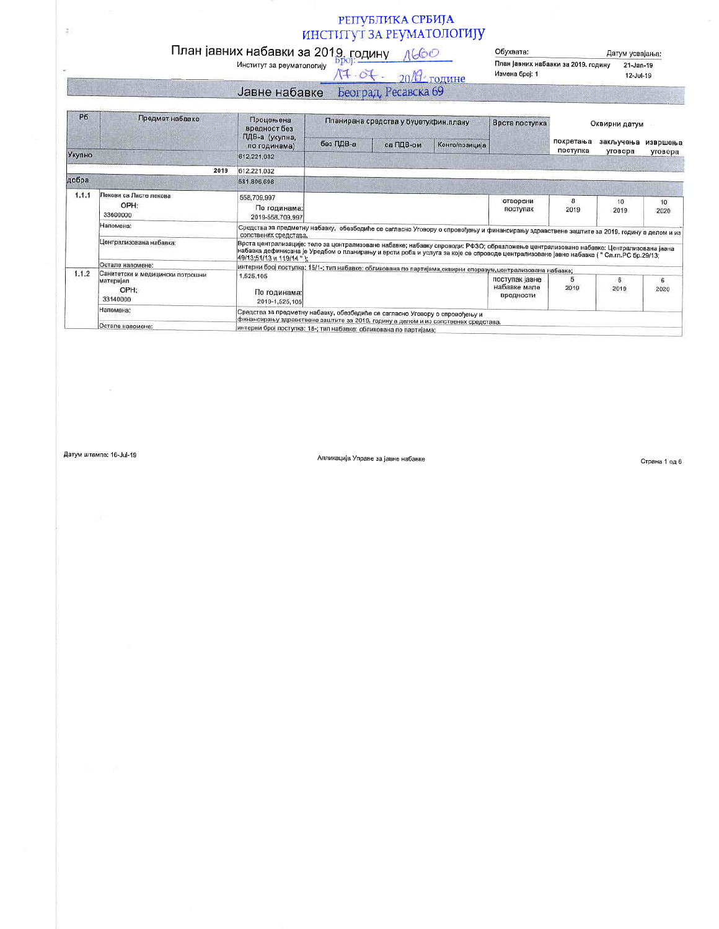## РЕПУБЛИКА СРБИЈА ИНСТИТУТ ЗА РЕУМАТОЛОГИЈУ

## План јавних набавки за 2019. годину  $\frac{\sqrt{60}}{\sqrt{2}}$  институт за реуматологију

 $M + O(-20)$ Измена број: 1

Обухвата: Датум усвајања: План Јавних набавки за 2019. годину  $21$ -Jan-19 12-Jul-19

Јавне набавке Београд, Ресавска 69

| P <sub>6</sub> | Предмет набавке                                                   | Процењена<br>вредност без                                                                                                                                                                                                                                                                                      | Планирана средства у буџету/фин.плану                                                                         |           | Врста поступка | Оквирни датум                               |                       |            |            |
|----------------|-------------------------------------------------------------------|----------------------------------------------------------------------------------------------------------------------------------------------------------------------------------------------------------------------------------------------------------------------------------------------------------------|---------------------------------------------------------------------------------------------------------------|-----------|----------------|---------------------------------------------|-----------------------|------------|------------|
|                |                                                                   | ПДВ-а (укупна,<br>по годинама)                                                                                                                                                                                                                                                                                 | без ПДВ-а                                                                                                     | са ПДВ-ом | Конто/позиција |                                             | покретања<br>поступка | закључења  | извршења   |
| Укупно         |                                                                   | 612,221,032                                                                                                                                                                                                                                                                                                    |                                                                                                               |           |                |                                             |                       | уговора    | уговора    |
|                | 2019                                                              | 612,221,032                                                                                                                                                                                                                                                                                                    |                                                                                                               |           |                |                                             |                       |            |            |
| добра          |                                                                   | 581,806,698                                                                                                                                                                                                                                                                                                    |                                                                                                               |           |                |                                             |                       |            |            |
| 1.1.1          | Пексви са Листе лекова<br>OPH:<br>33600000                        | 558,709,997<br>По годинама:<br>2019-558,709,997                                                                                                                                                                                                                                                                |                                                                                                               |           |                | отворени<br>поступак                        | 8<br>2019             | 10<br>2019 | 10<br>2020 |
|                | Напомена:                                                         | Средства за предметну набавку, обезбедиће се сагласно Уговору о спровођењу и финансирању здравствене заштите за 2019. годину а делом и из<br>сопствених средстава.                                                                                                                                             |                                                                                                               |           |                |                                             |                       |            |            |
|                | Централизована набавка:                                           | Врста централизације: тело за централизоване набавке; набавку спроводи: РФЗО; образложење централизоване набавке: Централизована јавна<br>набавка дефинисана је Уредбом о планирању и врсти роба и услуга за које се спроводе централизоване јавне набавке ( " Сл.гл.РС бр.29/13;<br>49/13:51/13 и 119/14 " ); |                                                                                                               |           |                |                                             |                       |            |            |
|                | Остале напомене:                                                  |                                                                                                                                                                                                                                                                                                                |                                                                                                               |           |                |                                             |                       |            |            |
| 1.1.2          | Санитетски и медицински потрошни<br>материјал<br>OPH:<br>33140000 | 1,525,105<br>По годинама:<br>2019-1,525,105                                                                                                                                                                                                                                                                    | интерни број поступка: 15/1-; тип набавке: обликована по партијама, оквирни споразум, централизована набавка; |           |                | поступак јавне<br>набавке мале<br>вредности | 5.<br>2019            | 6<br>2019  | 6<br>2020  |
|                | Напомена:                                                         | Средства за предметну набавку, обезбедиће се сагласно Уговору о спровођењу и<br>финансирању здравствене заштите за 2019. годину а делом и из сопствених средстава.                                                                                                                                             |                                                                                                               |           |                |                                             |                       |            |            |
|                | Остале напомене:                                                  | ИНТЕРНИ број поступка: 18-; тип набавке: обликована по партнічно:                                                                                                                                                                                                                                              |                                                                                                               |           |                |                                             |                       |            |            |

Датум штампе: 16-Jul-19

ă

Апликација Управе за јавне набавке

Страна 1 од 6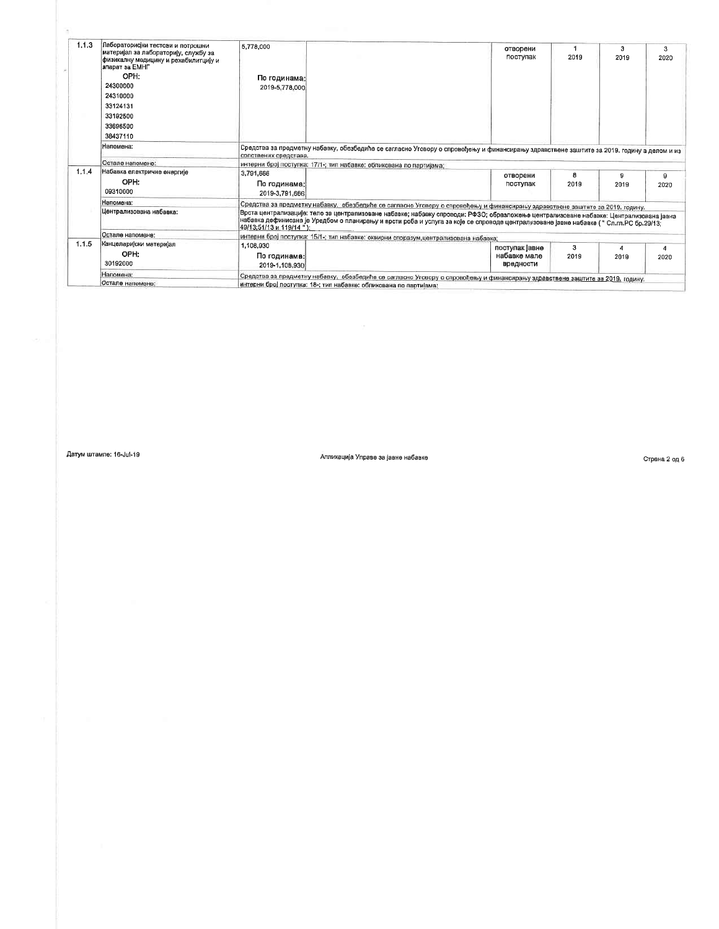| 1.13  | Пабораторисјки тестови и потрошни<br>материјал за лабораторију, службу за<br>физикалну медицину и рехабилитцију и<br>апарат за ЕМНГ | 5,778,000                                                                                                                                                                                                                                                                                                                                                                                                                                      | отворени<br>поступак                                                                                                          | 2019      | з<br>2019 | 3<br>2020 |  |  |  |
|-------|-------------------------------------------------------------------------------------------------------------------------------------|------------------------------------------------------------------------------------------------------------------------------------------------------------------------------------------------------------------------------------------------------------------------------------------------------------------------------------------------------------------------------------------------------------------------------------------------|-------------------------------------------------------------------------------------------------------------------------------|-----------|-----------|-----------|--|--|--|
|       | OPH:                                                                                                                                | По годинама:                                                                                                                                                                                                                                                                                                                                                                                                                                   |                                                                                                                               |           |           |           |  |  |  |
|       | 24300000                                                                                                                            | 2019-5,778,000                                                                                                                                                                                                                                                                                                                                                                                                                                 |                                                                                                                               |           |           |           |  |  |  |
|       | 24310000                                                                                                                            |                                                                                                                                                                                                                                                                                                                                                                                                                                                |                                                                                                                               |           |           |           |  |  |  |
|       | 33124131                                                                                                                            |                                                                                                                                                                                                                                                                                                                                                                                                                                                |                                                                                                                               |           |           |           |  |  |  |
|       | 33192500                                                                                                                            |                                                                                                                                                                                                                                                                                                                                                                                                                                                |                                                                                                                               |           |           |           |  |  |  |
|       | 33696500                                                                                                                            |                                                                                                                                                                                                                                                                                                                                                                                                                                                |                                                                                                                               |           |           |           |  |  |  |
|       | 38437110                                                                                                                            |                                                                                                                                                                                                                                                                                                                                                                                                                                                |                                                                                                                               |           |           |           |  |  |  |
|       | Напомена:                                                                                                                           | Средства за предметну набавку, обезбедиће се сагласно Уговору о спровођењу и финансирању здравствене заштите за 2019. годину а делом и из<br>сопствених средстава.                                                                                                                                                                                                                                                                             |                                                                                                                               |           |           |           |  |  |  |
|       | Остале напомене:                                                                                                                    |                                                                                                                                                                                                                                                                                                                                                                                                                                                | интерни број поступка: 17/1-; тип набавке: обликована по партијама;                                                           |           |           |           |  |  |  |
| 1.1.4 | Набавка електричне енергије<br>OPH:<br>09310000                                                                                     | 3,791,666<br>По годинама:<br>2019-3.791.666                                                                                                                                                                                                                                                                                                                                                                                                    | отворени<br>поступак                                                                                                          | 8<br>2019 | g<br>2019 | 9<br>2020 |  |  |  |
|       | Напомена:                                                                                                                           |                                                                                                                                                                                                                                                                                                                                                                                                                                                |                                                                                                                               |           |           |           |  |  |  |
|       | Централизована набавка:                                                                                                             | Средства за предметну набавку, обезбедиће се сагласно Уговору о спровођењу и финансирању здравствене заштите за 2019. годину.<br> Врста централизације: тело за центрапизоване набавке; набавку спроводи: РФЗО; образложење централизоване набавке: Централизована јавна<br>набавка дефинисана је Уредбом о планирању и врсти роба и успуга за које се спроводе централизоване јавне набавке ( " Сл.гл.РС бр.29/13;<br>49/13:51/13 и 119/14 ") |                                                                                                                               |           |           |           |  |  |  |
|       | Остале напомене:                                                                                                                    | интерни број поступка: 15/1-; тип набавке: оквирни споразум,централизована набавка;                                                                                                                                                                                                                                                                                                                                                            |                                                                                                                               |           |           |           |  |  |  |
| 1.15  | Канцелариски материјал                                                                                                              | 1,108,930                                                                                                                                                                                                                                                                                                                                                                                                                                      | поступак јавне                                                                                                                | 3         |           | 4         |  |  |  |
|       | OPH:<br>30192000                                                                                                                    | По годинама: <br>2019-1.108.930                                                                                                                                                                                                                                                                                                                                                                                                                | набавке мале<br><b>Вредности</b>                                                                                              | 2019      | 2019      | 2020      |  |  |  |
|       | Напомена:                                                                                                                           |                                                                                                                                                                                                                                                                                                                                                                                                                                                | Средства за предметну набавку, обезбедиће се сагласно Уговору о спровођењу и финансирању здравствене заштите за 2019. годину. |           |           |           |  |  |  |
|       | Остале напомене:                                                                                                                    |                                                                                                                                                                                                                                                                                                                                                                                                                                                | интерни број поступка: 18-; тип набавке: обликована по партијама:                                                             |           |           |           |  |  |  |

 $\alpha$ 

Апликација Управе за јавне набавке

Страна 2 од 6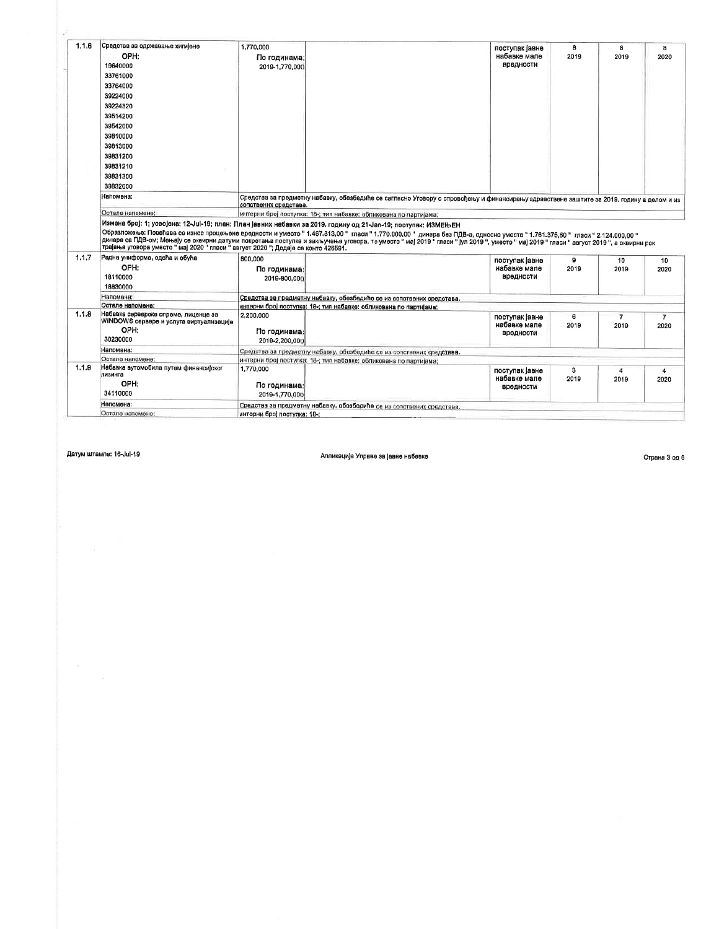| 1.1.6 | Средства за одржавање хигијене<br>OPH:<br>19640000<br>33761000<br>33764000<br>39224000<br>39224320<br>39514200                          | 1,770,000<br>По годинама:<br>2019-1.770.000                                                                                                                                                                                                                                                                                                                                                                  | поступак јавне<br>набавке мале<br>вредности | 8<br>2019 | 8<br>2019  | 8<br>2020                   |
|-------|-----------------------------------------------------------------------------------------------------------------------------------------|--------------------------------------------------------------------------------------------------------------------------------------------------------------------------------------------------------------------------------------------------------------------------------------------------------------------------------------------------------------------------------------------------------------|---------------------------------------------|-----------|------------|-----------------------------|
|       | 39542000<br>39810000<br>39813000<br>39831200<br>39831210<br>39831300<br>39832000                                                        |                                                                                                                                                                                                                                                                                                                                                                                                              |                                             |           |            |                             |
|       | Напомена;<br>Остале напомене:                                                                                                           | Средства за предметну набавку, обезбедиће се сагласно Уговору о спровођењу и финансирању здравствене заштите за 2019. годину а делом и из<br>сопствених средстава.<br>интерни број поступка: 18-; тип набавке: обликована по партијама;                                                                                                                                                                      |                                             |           |            |                             |
| 1.1.7 | трајања уговора уместо " мај 2020 " гласи " август 2020 "; Додаје се конто 426591.<br>Радна униформа, одећа и обућа<br>OPH:<br>18110000 | Образложење: Повећава се износ процењене вредности и уместо "1.467.813,00 " гласи "1.770.000,00 " динара без ПДВ-а, односно уместо "1.761.375,60 " гласи "2.124.000,00 "<br>динера са ПДВ-ом; Мењеју се оквирни датуми покретања поступка и закључења уговора, те уместо " мај 2019 " гласи " јул 2019 ", уместо " мај 2019 " гласи " вегуст 2019", а оквирни рок<br>600,000<br>По годинама:<br>2019-800.000 | поступак јавне<br>набавке мале<br>вредности | o<br>2019 | 10<br>2019 | 10<br>2020                  |
|       | 18830000                                                                                                                                |                                                                                                                                                                                                                                                                                                                                                                                                              |                                             |           |            |                             |
|       |                                                                                                                                         |                                                                                                                                                                                                                                                                                                                                                                                                              |                                             |           |            |                             |
|       | Напомена:<br>Остале напомене:                                                                                                           | Средства за предметну набавку, обезбедиће се из сопотвених средстава.                                                                                                                                                                                                                                                                                                                                        |                                             |           |            |                             |
|       | Набавка сервероке опреме, лиценце за<br>WINDOWS сервере и услуга виртуализације<br>OPH:<br>30230000                                     | интерни број поступка: 18-; тип набавке: обликована по партијама;<br>2,200,000<br>По годинама:<br>2019-2.200.000                                                                                                                                                                                                                                                                                             | поступак јавне<br>набавке мале<br>вредности | 6<br>2019 | 7<br>2019  | $\overline{7}$<br>2020      |
| 1.1.8 | Напомена:                                                                                                                               |                                                                                                                                                                                                                                                                                                                                                                                                              |                                             |           |            |                             |
|       | Остале напомене:                                                                                                                        | Средства за предметну набавку, обезбедиће се из сопствених средствав.<br>интерни број поступка: 18-; тип набавке: обликована по партијама:                                                                                                                                                                                                                                                                   |                                             |           |            |                             |
| 1.1.9 | Набавка аутомобила путем финансијског<br>лизинга<br>OPH:<br>34110000                                                                    | 1,770,000<br>По годинама:<br>2019-1.770.000                                                                                                                                                                                                                                                                                                                                                                  | поступак Іавне<br>набавке мале<br>вредности | 3<br>2019 | 4<br>2019  | $\overline{\bf{4}}$<br>2020 |
|       | Напомена:                                                                                                                               | Средства за предметну набавку, обезбедиће се из сопствених средстава.                                                                                                                                                                                                                                                                                                                                        |                                             |           |            |                             |

Апликација Управе за јавне набавке

Страна 3 од 6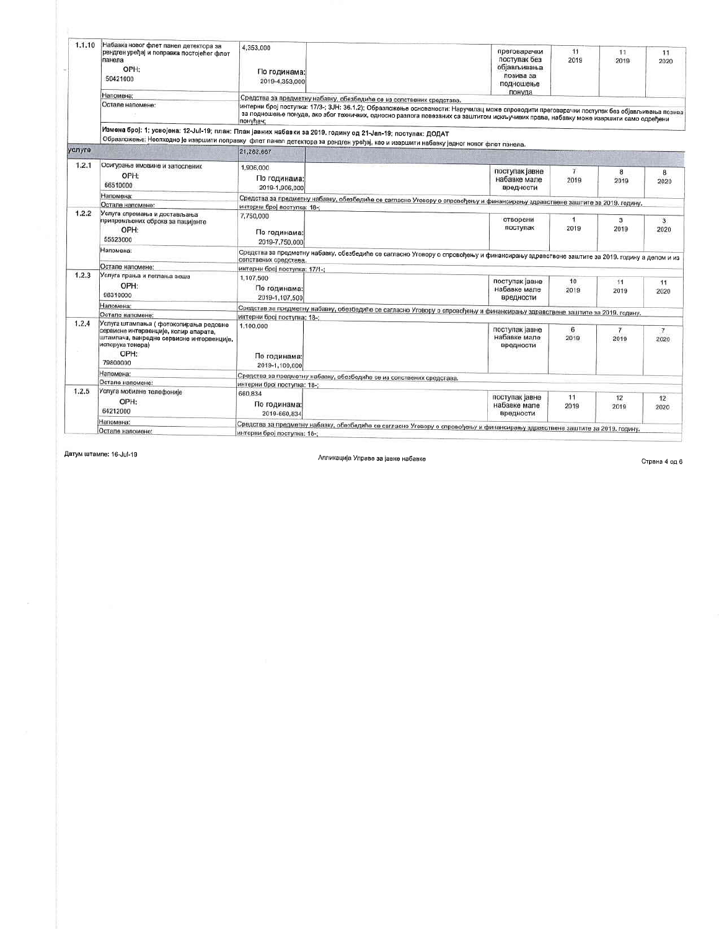| 1.1.10 | Набавка новог флет панел детектора за<br>рендген уређај и поправка постојећег флет<br>панела<br>OPH:<br>50421000                                                     | 4,353,000<br>По годинама:<br>2019-4,353,000 | преговарачки<br>поступак без<br>објављивања<br>позива за<br>подношење<br>понуда                                                                                                                                                                                                     | 11<br>2019             | 11<br>2019     | 11<br>2020             |
|--------|----------------------------------------------------------------------------------------------------------------------------------------------------------------------|---------------------------------------------|-------------------------------------------------------------------------------------------------------------------------------------------------------------------------------------------------------------------------------------------------------------------------------------|------------------------|----------------|------------------------|
|        | Напомена:                                                                                                                                                            |                                             | Средства за предметну набавку, обезбедиће се из сопствених средстава.                                                                                                                                                                                                               |                        |                |                        |
|        | Остале напомене:                                                                                                                                                     | понућач:                                    | интерни број поступка: 17/3-; 3JH: 36.1.2); Образложење основаности: Наручилац може спроводити преговарачки поступак без објављивања позива<br>за подношење понуда, ако због техничких, односно разлога повезаних са заштитом искључивих права, набавку може извршити само одређени |                        |                |                        |
|        | Измена број: 1; усвојена: 12-Јul-19; план: План јавних набавки за 2019. годину од 21-Јап-19; поступак: ДОДАТ                                                         |                                             | Образложење: Неопходно је извршити поправку флет панел детектора за рендген уређај, као и извршити набавку једног новог флет панела.                                                                                                                                                |                        |                |                        |
| услуге |                                                                                                                                                                      | 21,282,667                                  |                                                                                                                                                                                                                                                                                     |                        |                |                        |
| 1.2.1  | Осигурање имовине и запослених<br>OPH:<br>66510000                                                                                                                   | 1,906,000<br>По годинама:<br>2019-1,906,000 | поступак јавне<br>набавке мале<br>вредности                                                                                                                                                                                                                                         | $\overline{7}$<br>2019 | 8<br>2019      | 8<br>2020              |
|        | Напомена:                                                                                                                                                            |                                             | Средства за предметну набавку, обезбедиће се сагласно Уговору о спровођењу и финансирању здравствене заштите за 2019. годину.                                                                                                                                                       |                        |                |                        |
|        | Остале напомене:                                                                                                                                                     | интерни број поступка: 18-:                 |                                                                                                                                                                                                                                                                                     |                        |                |                        |
| 1.2.2  | Услуга спремања и достављања<br>припремљених оброка за пацијенте<br>OPH:<br>55523000                                                                                 | 7,750,000<br>По годинама:<br>2019-7.750.000 | отворени<br>поступак                                                                                                                                                                                                                                                                | $\overline{1}$<br>2019 | 3<br>2019      | $\overline{3}$<br>2020 |
|        | Напомена:                                                                                                                                                            | сопствених средстава.                       | Средства за предметну набавку, обезбедиће се сагласно Уговору о спровођењу и финансирању здравствене заштите за 2019. годину а делом и из                                                                                                                                           |                        |                |                        |
|        | Остале напомене:                                                                                                                                                     | интерни број поступка: 17/1-;               |                                                                                                                                                                                                                                                                                     |                        |                |                        |
| 1.2.3  | Услуга прања и пеглања веша<br>OPH:<br>98310000                                                                                                                      | 1,107,500<br>По годинама:<br>2019-1.107.500 | поступак јавне<br>набавке мале<br>вредности                                                                                                                                                                                                                                         | 10<br>2019             | 11<br>2019     | 11<br>2020             |
|        | Напомена:                                                                                                                                                            |                                             | Средстав за предметну набавку, обезбедиће се сагласно Уговору о спровођењу и финансирању здравствене заштите за 2019. годину.                                                                                                                                                       |                        |                |                        |
|        | Остале напомене:                                                                                                                                                     | интерни број поступка: 18-;                 |                                                                                                                                                                                                                                                                                     |                        |                |                        |
| 1.2.4  | Успуга штампања ( фотокопирања редовне<br>сервисне интервенције, колир апарата,<br>штампача, ванредне сервисне интервенције,<br>испорука тонера)<br>OPH:<br>79800000 | 1,100,000<br>По годинама:<br>2019-1,100,000 | поступак јавне<br>набавке мале<br>вредности                                                                                                                                                                                                                                         | 6<br>2019              | $\tau$<br>2019 | $\overline{7}$<br>2020 |
|        | Напомена:                                                                                                                                                            |                                             | Средства за предметну набавку, обезбедиће се из сопствених средстава.                                                                                                                                                                                                               |                        |                |                        |
|        | Остале напомене:                                                                                                                                                     | интерни број поступка: 18-;                 |                                                                                                                                                                                                                                                                                     |                        |                |                        |
| 1.2.5  | Услуга мобилне телефоније<br>OPH:<br>64212000                                                                                                                        | 660.834<br>По годинама:<br>2019-660.834     | поступак јавне<br>набавке мале<br>вредности                                                                                                                                                                                                                                         | 11<br>2019             | 12<br>2019     | 12<br>2020             |
|        | Напомена:<br>Остале напомене:                                                                                                                                        | интерни број поступка: 18-:                 | Средства за предметну набавку, обезбедиће се сагласно Уговору о спровођењу и финансирању здравствене заштите за 2019. годину.                                                                                                                                                       |                        |                |                        |

Апликација Управе за јавне набавке

Страна 4 од 6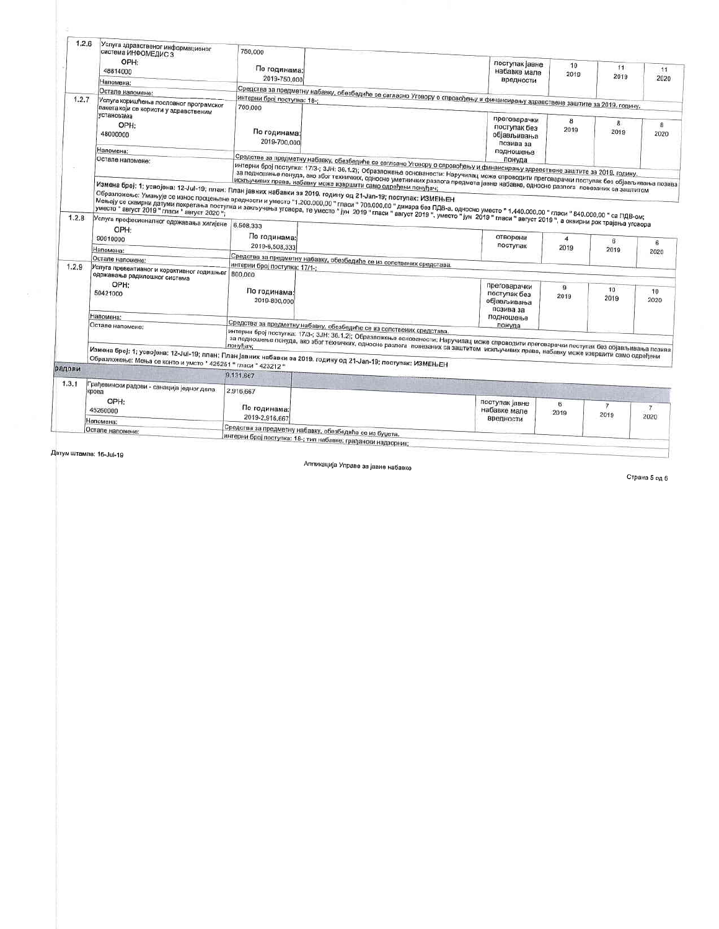|        | 1.2.6<br>Услуга здравственог информационог<br>система ИНФОМЕДИС 3 | 750,000                                                                                                                                                                                                                                                                                                                                                                                                                                                                                                                                                                                                                                                                                                                                                                                                                                                                            |                                                          |            |                |                |
|--------|-------------------------------------------------------------------|------------------------------------------------------------------------------------------------------------------------------------------------------------------------------------------------------------------------------------------------------------------------------------------------------------------------------------------------------------------------------------------------------------------------------------------------------------------------------------------------------------------------------------------------------------------------------------------------------------------------------------------------------------------------------------------------------------------------------------------------------------------------------------------------------------------------------------------------------------------------------------|----------------------------------------------------------|------------|----------------|----------------|
|        | OPH:<br>48814000                                                  | По годинама;<br>2019-750,000                                                                                                                                                                                                                                                                                                                                                                                                                                                                                                                                                                                                                                                                                                                                                                                                                                                       | поступак јавне<br>набавке мале                           | 10<br>2019 | 11<br>2019     | 11<br>2020     |
|        | Напомена:                                                         |                                                                                                                                                                                                                                                                                                                                                                                                                                                                                                                                                                                                                                                                                                                                                                                                                                                                                    | вредности                                                |            |                |                |
|        | Остале напомене:                                                  | Средства за предметну набавку, обезбедиће се сагласно Уговору о спровођењу и финансирању здравствене заштите за 2019. годину.                                                                                                                                                                                                                                                                                                                                                                                                                                                                                                                                                                                                                                                                                                                                                      |                                                          |            |                |                |
| 1.2.7  | Услуга коришћења пословног програмског                            | интерни број поступка: 18-;                                                                                                                                                                                                                                                                                                                                                                                                                                                                                                                                                                                                                                                                                                                                                                                                                                                        |                                                          |            |                |                |
|        | пакета који се користи у здравственим<br>установама               |                                                                                                                                                                                                                                                                                                                                                                                                                                                                                                                                                                                                                                                                                                                                                                                                                                                                                    |                                                          |            |                |                |
|        | OPH:<br>48000000                                                  | По годинама:<br>2019-700,000                                                                                                                                                                                                                                                                                                                                                                                                                                                                                                                                                                                                                                                                                                                                                                                                                                                       | преговарачки<br>поступак без<br>објављивања<br>позива за | 8<br>2019  | 8<br>2019      | 8<br>2020      |
|        | Напомена:                                                         |                                                                                                                                                                                                                                                                                                                                                                                                                                                                                                                                                                                                                                                                                                                                                                                                                                                                                    | подношење                                                |            |                |                |
|        | Остале напомене:                                                  | Средства за предметну набавку, обезбедиће се саглсано Уговору о спровођењу и финансирању здравствоне заштите за 2019. годину.                                                                                                                                                                                                                                                                                                                                                                                                                                                                                                                                                                                                                                                                                                                                                      |                                                          |            |                |                |
|        |                                                                   | интерни број поступка: 17/3-; 3JH: 36,1.2); Образложење основаности: Наручилац може спроводити преговарачки поступак без објављивања позива<br>за подношење понуда, ако због техничких, односно уметничких разлога предмета јавне набавке, односно разлога повезаних са заштитом<br>искључивих права, набавку може извршити само одређени понуђач;<br>Измена број: 1; усвојена: 12-Jul-19; план: План јавних набавки за 2019. годину од 21-Jan-19; поступак: ИЗМЕЊЕН<br>Образложење: Умањује се износ процењене вредности и уместо "1.200.000,00 " паси " 700.000,00 " динара без ПДВ-а, односно уместо " 1.440.000,00 " гласи " 840.000,00 " са ПДВ-ом;<br>Мењају се оквирни датуми покретања поступка и закључења уговора, те уместо "јун. 2019 "гласи "за учители уместо "јун. 2019 "гласи "вагуст 2019", уместо "јун. 2019 "гласи "вагуст 2019", а оквирни рок трајања уговора |                                                          |            |                |                |
| 1.2.8  | Услуга професионалног одржавања хигијене<br>OPH:                  | 6,508,333                                                                                                                                                                                                                                                                                                                                                                                                                                                                                                                                                                                                                                                                                                                                                                                                                                                                          |                                                          |            |                |                |
|        | 90910000                                                          | По годинама:                                                                                                                                                                                                                                                                                                                                                                                                                                                                                                                                                                                                                                                                                                                                                                                                                                                                       | отворени<br>поступак                                     | 4          | 6              | 6              |
|        | Напомена:                                                         | 2019-6,508,333                                                                                                                                                                                                                                                                                                                                                                                                                                                                                                                                                                                                                                                                                                                                                                                                                                                                     |                                                          | 2019       | 2019           | 2020           |
|        | Остале напомене:                                                  | Средства за предметну набавку, обезбедиће се из сопствених средстава.                                                                                                                                                                                                                                                                                                                                                                                                                                                                                                                                                                                                                                                                                                                                                                                                              |                                                          |            |                |                |
|        |                                                                   | интерни број поступка: 17/1-;                                                                                                                                                                                                                                                                                                                                                                                                                                                                                                                                                                                                                                                                                                                                                                                                                                                      |                                                          |            |                |                |
|        |                                                                   |                                                                                                                                                                                                                                                                                                                                                                                                                                                                                                                                                                                                                                                                                                                                                                                                                                                                                    |                                                          |            |                |                |
|        | Услуга превентивног и корективног годишњег   800,000              |                                                                                                                                                                                                                                                                                                                                                                                                                                                                                                                                                                                                                                                                                                                                                                                                                                                                                    |                                                          |            |                |                |
|        | одржавања радилошког система<br>OPH:                              |                                                                                                                                                                                                                                                                                                                                                                                                                                                                                                                                                                                                                                                                                                                                                                                                                                                                                    |                                                          |            |                |                |
|        |                                                                   | По годинама:                                                                                                                                                                                                                                                                                                                                                                                                                                                                                                                                                                                                                                                                                                                                                                                                                                                                       | преговарачки                                             | -9         | 10             | 10             |
|        | 50421000                                                          | 2019-800,000                                                                                                                                                                                                                                                                                                                                                                                                                                                                                                                                                                                                                                                                                                                                                                                                                                                                       | поступак без                                             | 2019       | 2019           | 2020           |
|        |                                                                   |                                                                                                                                                                                                                                                                                                                                                                                                                                                                                                                                                                                                                                                                                                                                                                                                                                                                                    | објављивања<br>позива за                                 |            |                |                |
| 1.2.9  | Напомена:                                                         |                                                                                                                                                                                                                                                                                                                                                                                                                                                                                                                                                                                                                                                                                                                                                                                                                                                                                    | подношење                                                |            |                |                |
|        | Остале напомене:                                                  |                                                                                                                                                                                                                                                                                                                                                                                                                                                                                                                                                                                                                                                                                                                                                                                                                                                                                    | понуда                                                   |            |                |                |
|        |                                                                   | Средства за предметну набавку, обезбедиће се из сопствених средстава.                                                                                                                                                                                                                                                                                                                                                                                                                                                                                                                                                                                                                                                                                                                                                                                                              |                                                          |            |                |                |
|        |                                                                   |                                                                                                                                                                                                                                                                                                                                                                                                                                                                                                                                                                                                                                                                                                                                                                                                                                                                                    |                                                          |            |                |                |
|        |                                                                   | интерни број поступка: 17/3-; 3JH: 36.1.2); Образпожење основаности: Наручилац може спроводити преговарачки поступак без објављивања позива                                                                                                                                                                                                                                                                                                                                                                                                                                                                                                                                                                                                                                                                                                                                        |                                                          |            |                |                |
| радови | Образложење: Мења се конто и умсто " 425251 " гласи " 423212 "    | за подношење понуда, ако због техничких, односно разлога повезаних са заштитом искључивих права, набавку може извршити само одређени<br> Измена број: 1; усвојена: 12-Јul-19; план: План јавних набавки за 2019. годину од 21-Јап-19; поступак: ИЗМЕЊЕН                                                                                                                                                                                                                                                                                                                                                                                                                                                                                                                                                                                                                            |                                                          |            |                |                |
|        |                                                                   | 9.131.667                                                                                                                                                                                                                                                                                                                                                                                                                                                                                                                                                                                                                                                                                                                                                                                                                                                                          |                                                          |            |                |                |
| 1.3.1  |                                                                   |                                                                                                                                                                                                                                                                                                                                                                                                                                                                                                                                                                                                                                                                                                                                                                                                                                                                                    |                                                          |            |                |                |
|        | Грађевински радови - санација једног дела                         | 2,916,667                                                                                                                                                                                                                                                                                                                                                                                                                                                                                                                                                                                                                                                                                                                                                                                                                                                                          |                                                          |            |                |                |
|        | OPH:                                                              |                                                                                                                                                                                                                                                                                                                                                                                                                                                                                                                                                                                                                                                                                                                                                                                                                                                                                    |                                                          |            |                |                |
|        | 45260000                                                          | По годинама:                                                                                                                                                                                                                                                                                                                                                                                                                                                                                                                                                                                                                                                                                                                                                                                                                                                                       | поступак јавне                                           | 6          | $\overline{7}$ | $\overline{7}$ |
|        |                                                                   | 2019-2,916,667                                                                                                                                                                                                                                                                                                                                                                                                                                                                                                                                                                                                                                                                                                                                                                                                                                                                     | набавке мале<br>вредности                                | 2019       | 2019           | 2020           |
|        | Напомена:<br>Остале напомене:                                     | Средства за предметну набавку, обезбедиће се из буџета.                                                                                                                                                                                                                                                                                                                                                                                                                                                                                                                                                                                                                                                                                                                                                                                                                            |                                                          |            |                |                |

Апликација Управе за јавне набавке

Страна 5 од 6